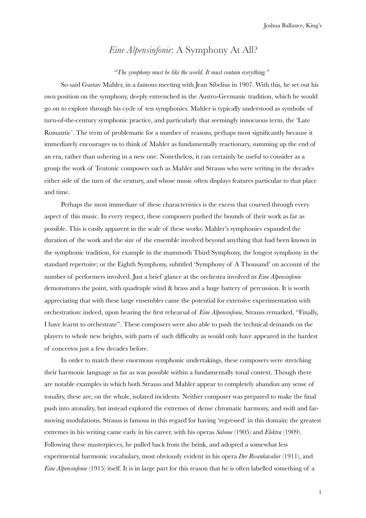## *Eine Alpensinfonie*: A Symphony At All?

## *"The symphony must be like the world. It must contain everything."*

So said Gustav Mahler, in a famous meeting with Jean Sibelius in 1907. With this, he set out his own position on the symphony, deeply entrenched in the Austro-Germanic tradition, which he would go on to explore through his cycle of ten symphonies. Mahler is typically understood as symbolic of turn-of-the-century symphonic practice, and particularly that seemingly innocuous term, the 'Late Romantic'. The term of problematic for a number of reasons, perhaps most significantly because it immediately encourages us to think of Mahler as fundamentally reactionary, summing up the end of an era, rather than ushering in a new one. Nonetheless, it can certainly be useful to consider as a group the work of Teutonic composers such as Mahler and Strauss who were writing in the decades either side of the turn of the century, and whose music often displays features particular to that place and time.

Perhaps the most immediate of these characteristics is the excess that coursed through every aspect of this music. In every respect, these composers pushed the bounds of their work as far as possible. This is easily apparent in the scale of these works: Mahler's symphonies expanded the duration of the work and the size of the ensemble involved beyond anything that had been known in the symphonic tradition, for example in the mammoth Third Symphony, the longest symphony in the standard repertoire; or the Eighth Symphony, subtitled 'Symphony of A Thousand' on account of the number of performers involved. Just a brief glance at the orchestra involved in *Eine Alpensinfonie* demonstrates the point, with quadruple wind & brass and a huge battery of percussion. It is worth appreciating that with these large ensembles came the potential for extensive experimentation with orchestration: indeed, upon hearing the first rehearsal of *Eine Alpensinfonie,* Strauss remarked, "Finally, I have learnt to orchestrate". These composers were also able to push the technical demands on the players to whole new heights, with parts of such difficulty as would only have appeared in the hardest of concertos just a few decades before.

In order to match these enormous symphonic undertakings, these composers were stretching their harmonic language as far as was possible within a fundamentally tonal context. Though there are notable examples in which both Strauss and Mahler appear to completely abandon any sense of tonality, these are, on the whole, isolated incidents. Neither composer was prepared to make the final push into atonality, but instead explored the extremes of dense chromatic harmony, and swift and farmoving modulations. Strauss is famous in this regard for having 'regressed' in this domain: the greatest extremes in his writing came early in his career, with his operas *Salome* (1905) and *Elektra* (1909). Following these masterpieces, he pulled back from the brink, and adopted a somewhat less experimental harmonic vocabulary, most obviously evident in his opera *Der Rosenkavalier* (1911), and *Eine Alpensinfonie* (1915) itself. It is in large part for this reason that he is often labelled something of a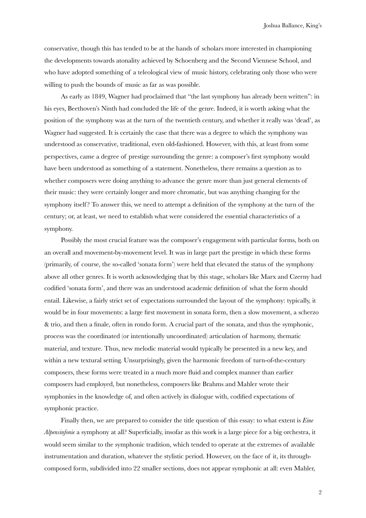Joshua Ballance, King's

conservative, though this has tended to be at the hands of scholars more interested in championing the developments towards atonality achieved by Schoenberg and the Second Viennese School, and who have adopted something of a teleological view of music history, celebrating only those who were willing to push the bounds of music as far as was possible.

As early as 1849, Wagner had proclaimed that "the last symphony has already been written": in his eyes, Beethoven's Ninth had concluded the life of the genre. Indeed, it is worth asking what the position of the symphony was at the turn of the twentieth century, and whether it really was 'dead', as Wagner had suggested. It is certainly the case that there was a degree to which the symphony was understood as conservative, traditional, even old-fashioned. However, with this, at least from some perspectives, came a degree of prestige surrounding the genre: a composer's first symphony would have been understood as something of a statement. Nonetheless, there remains a question as to whether composers were doing anything to advance the genre more than just general elements of their music: they were certainly longer and more chromatic, but was anything changing for the symphony itself? To answer this, we need to attempt a definition of the symphony at the turn of the century; or, at least, we need to establish what were considered the essential characteristics of a symphony.

Possibly the most crucial feature was the composer's engagement with particular forms, both on an overall and movement-by-movement level. It was in large part the prestige in which these forms (primarily, of course, the so-called 'sonata form') were held that elevated the status of the symphony above all other genres. It is worth acknowledging that by this stage, scholars like Marx and Czerny had codified 'sonata form', and there was an understood academic definition of what the form should entail. Likewise, a fairly strict set of expectations surrounded the layout of the symphony: typically, it would be in four movements: a large first movement in sonata form, then a slow movement, a scherzo & trio, and then a finale, often in rondo form. A crucial part of the sonata, and thus the symphonic, process was the coordinated (or intentionally uncoordinated) articulation of harmony, thematic material, and texture. Thus, new melodic material would typically be presented in a new key, and within a new textural setting. Unsurprisingly, given the harmonic freedom of turn-of-the-century composers, these forms were treated in a much more fluid and complex manner than earlier composers had employed, but nonetheless, composers like Brahms and Mahler wrote their symphonies in the knowledge of, and often actively in dialogue with, codified expectations of symphonic practice.

Finally then, we are prepared to consider the title question of this essay: to what extent is *Eine Alpensinfonie* a symphony at all? Superficially, insofar as this work is a large piece for a big orchestra, it would seem similar to the symphonic tradition, which tended to operate at the extremes of available instrumentation and duration, whatever the stylistic period. However, on the face of it, its throughcomposed form, subdivided into 22 smaller sections, does not appear symphonic at all: even Mahler,

2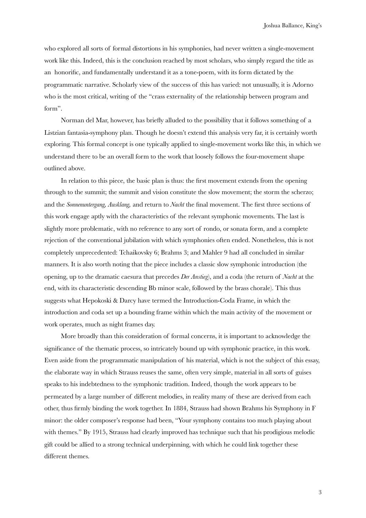who explored all sorts of formal distortions in his symphonies, had never written a single-movement work like this. Indeed, this is the conclusion reached by most scholars, who simply regard the title as an honorific, and fundamentally understand it as a tone-poem, with its form dictated by the programmatic narrative. Scholarly view of the success of this has varied: not unusually, it is Adorno who is the most critical, writing of the "crass externality of the relationship between program and form".

Norman del Mar, however, has briefly alluded to the possibility that it follows something of a Listzian fantasia-symphony plan. Though he doesn't extend this analysis very far, it is certainly worth exploring. This formal concept is one typically applied to single-movement works like this, in which we understand there to be an overall form to the work that loosely follows the four-movement shape outlined above.

In relation to this piece, the basic plan is thus: the first movement extends from the opening through to the summit; the summit and vision constitute the slow movement; the storm the scherzo; and the *Sonnenuntergang, Ausklang,* and return to *Nacht* the final movement. The first three sections of this work engage aptly with the characteristics of the relevant symphonic movements. The last is slightly more problematic, with no reference to any sort of rondo, or sonata form, and a complete rejection of the conventional jubilation with which symphonies often ended. Nonetheless, this is not completely unprecedented: Tchaikovsky 6; Brahms 3; and Mahler 9 had all concluded in similar manners. It is also worth noting that the piece includes a classic slow symphonic introduction (the opening, up to the dramatic caesura that precedes *Der Anstieg*), and a coda (the return of *Nacht* at the end, with its characteristic descending Bb minor scale, followed by the brass chorale). This thus suggests what Hepokoski & Darcy have termed the Introduction-Coda Frame, in which the introduction and coda set up a bounding frame within which the main activity of the movement or work operates, much as night frames day.

More broadly than this consideration of formal concerns, it is important to acknowledge the significance of the thematic process, so intricately bound up with symphonic practice, in this work. Even aside from the programmatic manipulation of his material, which is not the subject of this essay, the elaborate way in which Strauss reuses the same, often very simple, material in all sorts of guises speaks to his indebtedness to the symphonic tradition. Indeed, though the work appears to be permeated by a large number of different melodies, in reality many of these are derived from each other, thus firmly binding the work together. In 1884, Strauss had shown Brahms his Symphony in F minor: the older composer's response had been, "Your symphony contains too much playing about with themes." By 1915, Strauss had clearly improved has technique such that his prodigious melodic gift could be allied to a strong technical underpinning, with which he could link together these different themes.